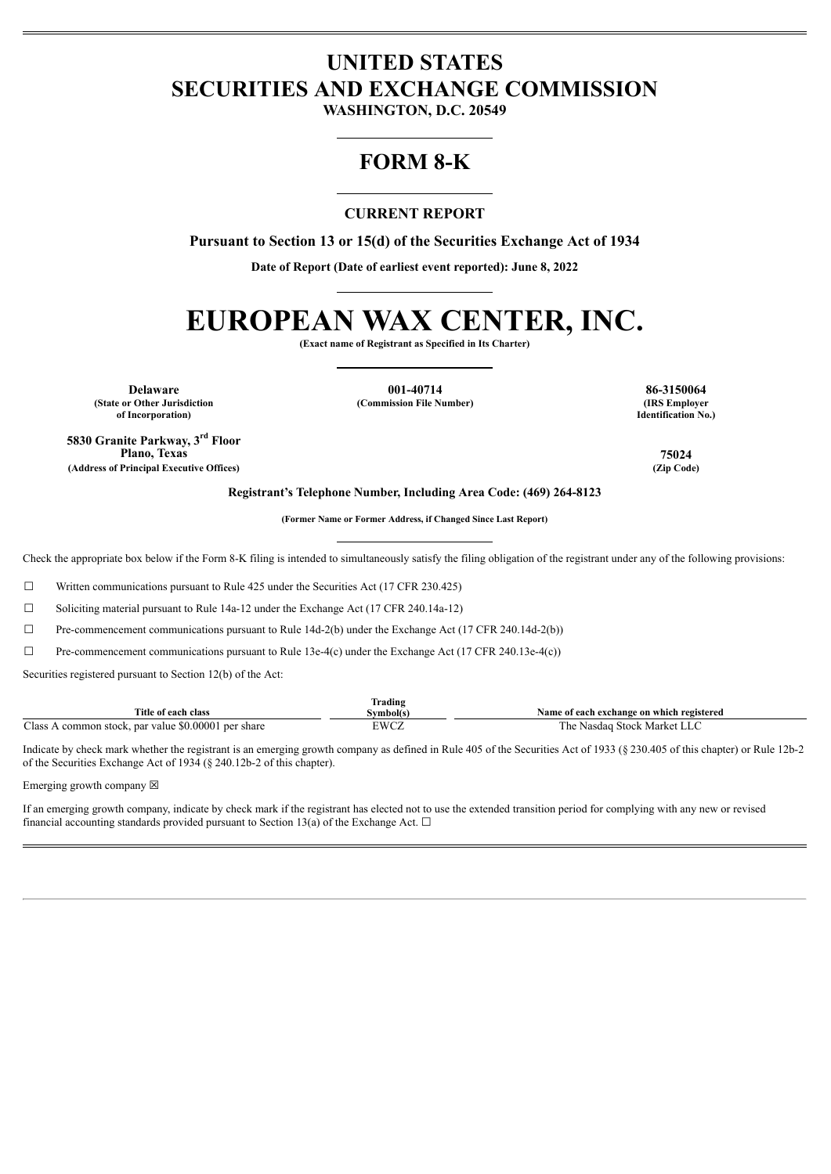# **UNITED STATES SECURITIES AND EXCHANGE COMMISSION**

**WASHINGTON, D.C. 20549**

## **FORM 8-K**

## **CURRENT REPORT**

**Pursuant to Section 13 or 15(d) of the Securities Exchange Act of 1934**

**Date of Report (Date of earliest event reported): June 8, 2022**

# **EUROPEAN WAX CENTER, INC.**

**(Exact name of Registrant as Specified in Its Charter)**

**(State or Other Jurisdiction of Incorporation)**

**Delaware 001-40714 86-3150064 (Commission File Number) (IRS Employer**

**Identification No.)**

**5830 Granite Parkway, 3 Floor rdPlano, Texas 75024 (Address of Principal Executive Offices) (Zip Code)**

**Registrant's Telephone Number, Including Area Code: (469) 264-8123**

**(Former Name or Former Address, if Changed Since Last Report)**

Check the appropriate box below if the Form 8-K filing is intended to simultaneously satisfy the filing obligation of the registrant under any of the following provisions:

 $\Box$  Written communications pursuant to Rule 425 under the Securities Act (17 CFR 230.425)

☐ Soliciting material pursuant to Rule 14a-12 under the Exchange Act (17 CFR 240.14a-12)

 $\Box$  Pre-commencement communications pursuant to Rule 14d-2(b) under the Exchange Act (17 CFR 240.14d-2(b))

 $\Box$  Pre-commencement communications pursuant to Rule 13e-4(c) under the Exchange Act (17 CFR 240.13e-4(c))

Securities registered pursuant to Section 12(b) of the Act:

|                                                                                     | $\sim$<br>Trading |                                                |
|-------------------------------------------------------------------------------------|-------------------|------------------------------------------------|
| Title.<br>e of each class                                                           | švmbol(s)         | of each exchange on which registered :<br>Vame |
| Class<br>$1.0000$ <sup>+</sup><br>per share<br>-80<br>common stock.<br>value<br>par | <b>EWCZ</b>       | Market<br>1 he<br>. Stock<br>Nasdac            |

Indicate by check mark whether the registrant is an emerging growth company as defined in Rule 405 of the Securities Act of 1933 (§ 230.405 of this chapter) or Rule 12b-2 of the Securities Exchange Act of 1934 (§ 240.12b-2 of this chapter).

Emerging growth company  $\boxtimes$ 

If an emerging growth company, indicate by check mark if the registrant has elected not to use the extended transition period for complying with any new or revised financial accounting standards provided pursuant to Section 13(a) of the Exchange Act.  $\Box$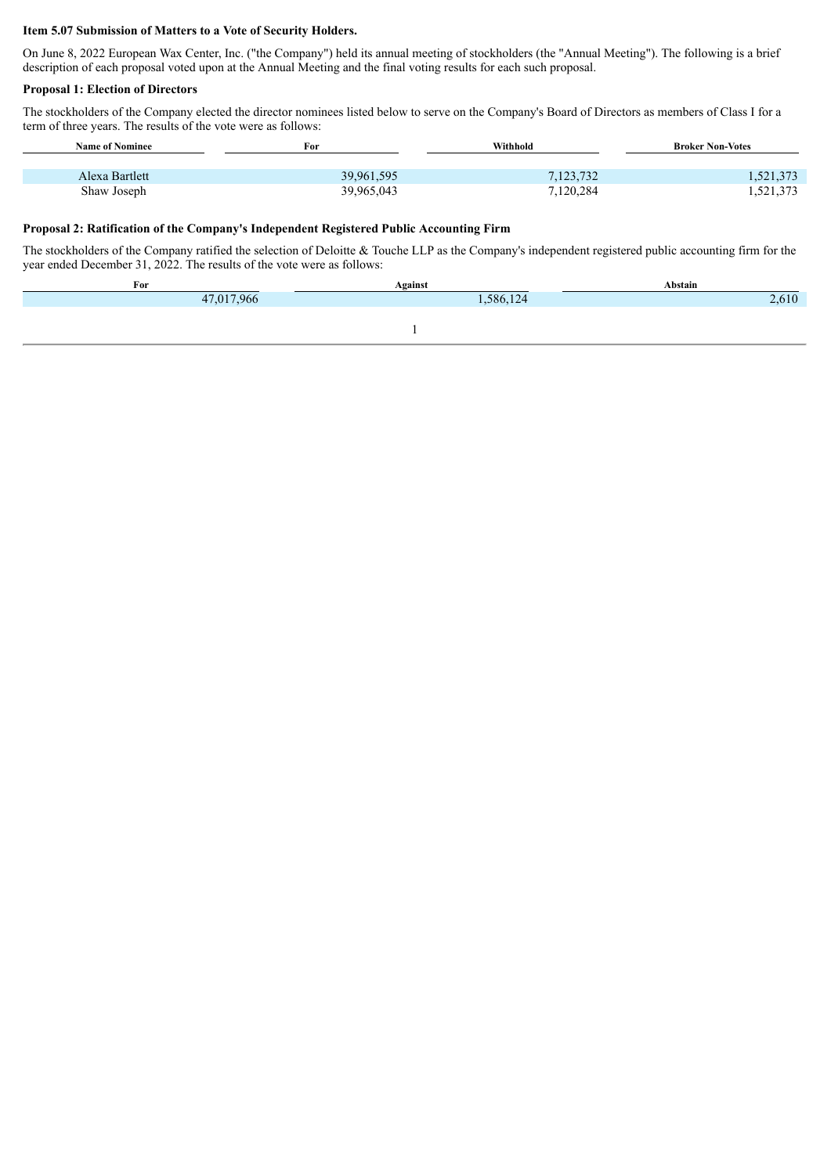#### **Item 5.07 Submission of Matters to a Vote of Security Holders.**

On June 8, 2022 European Wax Center, Inc. ("the Company") held its annual meeting of stockholders (the "Annual Meeting"). The following is a brief description of each proposal voted upon at the Annual Meeting and the final voting results for each such proposal.

#### **Proposal 1: Election of Directors**

The stockholders of the Company elected the director nominees listed below to serve on the Company's Board of Directors as members of Class I for a term of three years. The results of the vote were as follows:

| <b>Name of Nominee</b> | For        | Withhold  | <b>Broker Non-Votes</b> |
|------------------------|------------|-----------|-------------------------|
|                        |            |           |                         |
| Alexa Bartlett         | 39,961,595 | 7,123,732 | 1,521,373               |
| Shaw Joseph            | 39,965,043 | 7,120,284 | .521,373                |

### **Proposal 2: Ratification of the Company's Independent Registered Public Accounting Firm**

The stockholders of the Company ratified the selection of Deloitte & Touche LLP as the Company's independent registered public accounting firm for the year ended December 31, 2022. The results of the vote were as follows:

| -<br>For   | Against         | Abstain                  |
|------------|-----------------|--------------------------|
| 17,017,966 | .586.124<br>1/2 | 10 <sup>1</sup><br>2.010 |
|            |                 |                          |
|            |                 |                          |